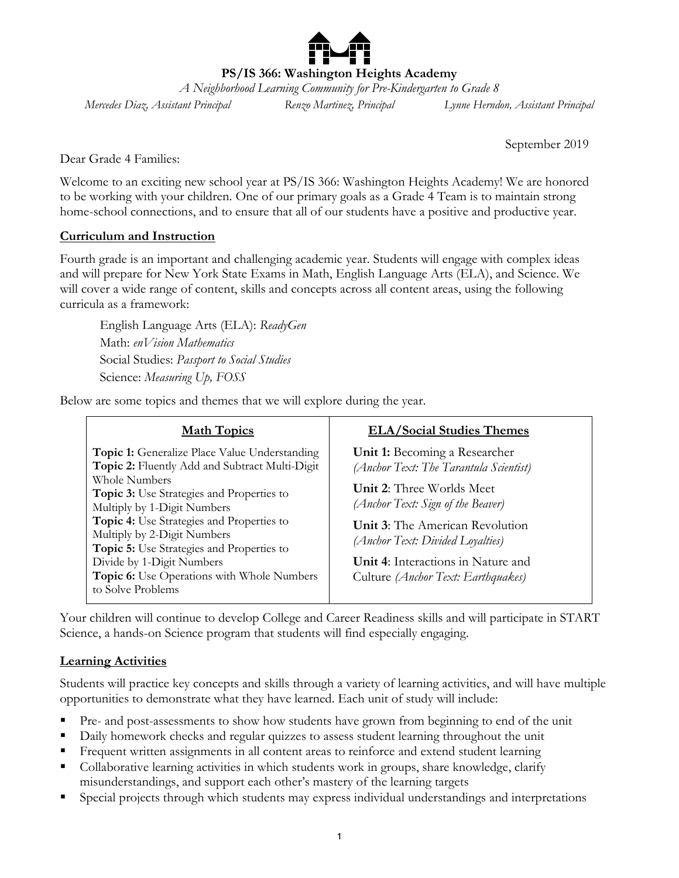**PS/IS 366: Washington Heights Academy**

*A Neighborhood Learning Community for Pre-Kindergarten to Grade 8 Mercedes Diaz, Assistant Principal Renzo Martinez, Principal Lynne Herndon, Assistant Principal*

September 2019

Dear Grade 4 Families:

Welcome to an exciting new school year at PS/IS 366: Washington Heights Academy! We are honored to be working with your children. One of our primary goals as a Grade 4 Team is to maintain strong home-school connections, and to ensure that all of our students have a positive and productive year.

#### **Curriculum and Instruction**

Fourth grade is an important and challenging academic year. Students will engage with complex ideas and will prepare for New York State Exams in Math, English Language Arts (ELA), and Science. We will cover a wide range of content, skills and concepts across all content areas, using the following curricula as a framework:

English Language Arts (ELA): *ReadyGen* Math: *enVision Mathematics* Social Studies: *Passport to Social Studies* Science: *Measuring Up, FOSS*

Below are some topics and themes that we will explore during the year.

| <b>Math Topics</b>                                                                                  | <b>ELA/Social Studies Themes</b>                                           |
|-----------------------------------------------------------------------------------------------------|----------------------------------------------------------------------------|
| Topic 1: Generalize Place Value Understanding<br>Topic 2: Fluently Add and Subtract Multi-Digit     | Unit 1: Becoming a Researcher<br>(Anchor Text: The Tarantula Scientist)    |
| Whole Numbers<br><b>Topic 3:</b> Use Strategies and Properties to                                   | <b>Unit 2:</b> Three Worlds Meet                                           |
| Multiply by 1-Digit Numbers<br>Topic 4: Use Strategies and Properties to                            | (Anchor Text: Sign of the Beaver)                                          |
| Multiply by 2-Digit Numbers<br>Topic 5: Use Strategies and Properties to                            | <b>Unit 3:</b> The American Revolution<br>(Anchor Text: Divided Loyalties) |
| Divide by 1-Digit Numbers<br><b>Topic 6:</b> Use Operations with Whole Numbers<br>to Solve Problems | Unit 4: Interactions in Nature and<br>Culture (Anchor Text: Earthquakes)   |

Your children will continue to develop College and Career Readiness skills and will participate in START Science, a hands-on Science program that students will find especially engaging.

#### **Learning Activities**

Students will practice key concepts and skills through a variety of learning activities, and will have multiple opportunities to demonstrate what they have learned. Each unit of study will include:

- Pre- and post-assessments to show how students have grown from beginning to end of the unit
- Daily homework checks and regular quizzes to assess student learning throughout the unit
- Frequent written assignments in all content areas to reinforce and extend student learning
- Collaborative learning activities in which students work in groups, share knowledge, clarify misunderstandings, and support each other's mastery of the learning targets
- Special projects through which students may express individual understandings and interpretations